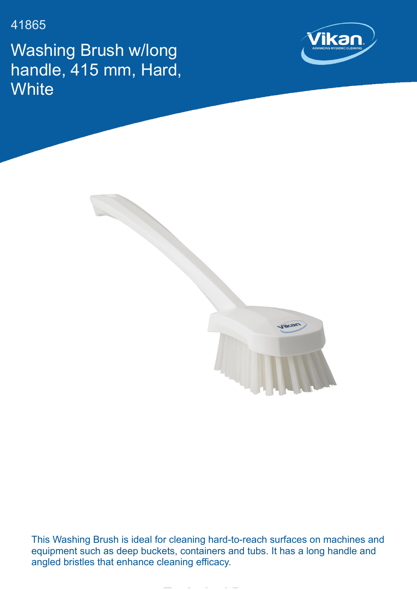41865

Washing Brush w/long handle, 415 mm, Hard, **White** 





This Washing Brush is ideal for cleaning hard-to-reach surfaces on machines and equipment such as deep buckets, containers and tubs. It has a long handle and angled bristles that enhance cleaning efficacy.

**Technical Data**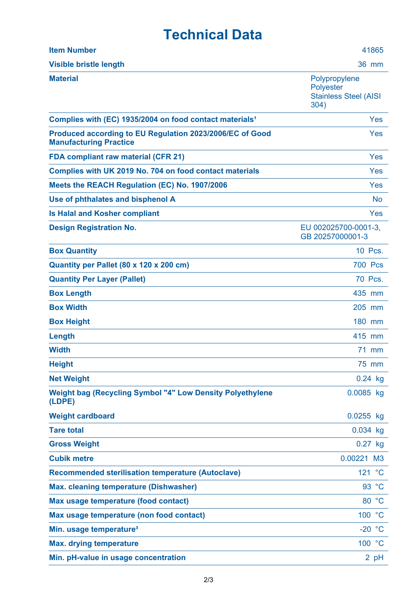## **Technical Data**

| <b>Item Number</b>                                                                        | 41865                                                                     |
|-------------------------------------------------------------------------------------------|---------------------------------------------------------------------------|
| <b>Visible bristle length</b>                                                             | <b>36 mm</b>                                                              |
| <b>Material</b>                                                                           | Polypropylene<br><b>Polyester</b><br><b>Stainless Steel (AISI</b><br>304) |
| Complies with (EC) 1935/2004 on food contact materials <sup>1</sup>                       | Yes                                                                       |
| Produced according to EU Regulation 2023/2006/EC of Good<br><b>Manufacturing Practice</b> | Yes                                                                       |
| <b>FDA compliant raw material (CFR 21)</b>                                                | Yes                                                                       |
| Complies with UK 2019 No. 704 on food contact materials                                   | Yes                                                                       |
| Meets the REACH Regulation (EC) No. 1907/2006                                             | Yes                                                                       |
| Use of phthalates and bisphenol A                                                         | <b>No</b>                                                                 |
| <b>Is Halal and Kosher compliant</b>                                                      | Yes                                                                       |
| <b>Design Registration No.</b>                                                            | EU 002025700-0001-3,<br>GB 20257000001-3                                  |
| <b>Box Quantity</b>                                                                       | 10 Pcs.                                                                   |
| Quantity per Pallet (80 x 120 x 200 cm)                                                   | <b>700 Pcs</b>                                                            |
| <b>Quantity Per Layer (Pallet)</b>                                                        | 70 Pcs.                                                                   |
| <b>Box Length</b>                                                                         | 435 mm                                                                    |
| <b>Box Width</b>                                                                          | 205 mm                                                                    |
| <b>Box Height</b>                                                                         | 180 mm                                                                    |
| Length                                                                                    | 415 mm                                                                    |
| <b>Width</b>                                                                              | 71 mm                                                                     |
| <b>Height</b>                                                                             | 75 mm                                                                     |
| <b>Net Weight</b>                                                                         | $0.24$ kg                                                                 |
| <b>Weight bag (Recycling Symbol "4" Low Density Polyethylene</b><br>(LDPE)                | 0.0085 kg                                                                 |
| <b>Weight cardboard</b>                                                                   | $0.0255$ kg                                                               |
| <b>Tare total</b>                                                                         | 0.034 kg                                                                  |
| <b>Gross Weight</b>                                                                       | $0.27$ kg                                                                 |
| <b>Cubik metre</b>                                                                        | 0.00221 M3                                                                |
| <b>Recommended sterilisation temperature (Autoclave)</b>                                  | 121 °C                                                                    |
| <b>Max. cleaning temperature (Dishwasher)</b>                                             | 93 °C                                                                     |
| Max usage temperature (food contact)                                                      | 80 °C                                                                     |
| Max usage temperature (non food contact)                                                  | 100 °C                                                                    |
| Min. usage temperature <sup>3</sup>                                                       | $-20 °C$                                                                  |
| <b>Max. drying temperature</b>                                                            | 100 °C                                                                    |
| Min. pH-value in usage concentration                                                      | 2 pH                                                                      |